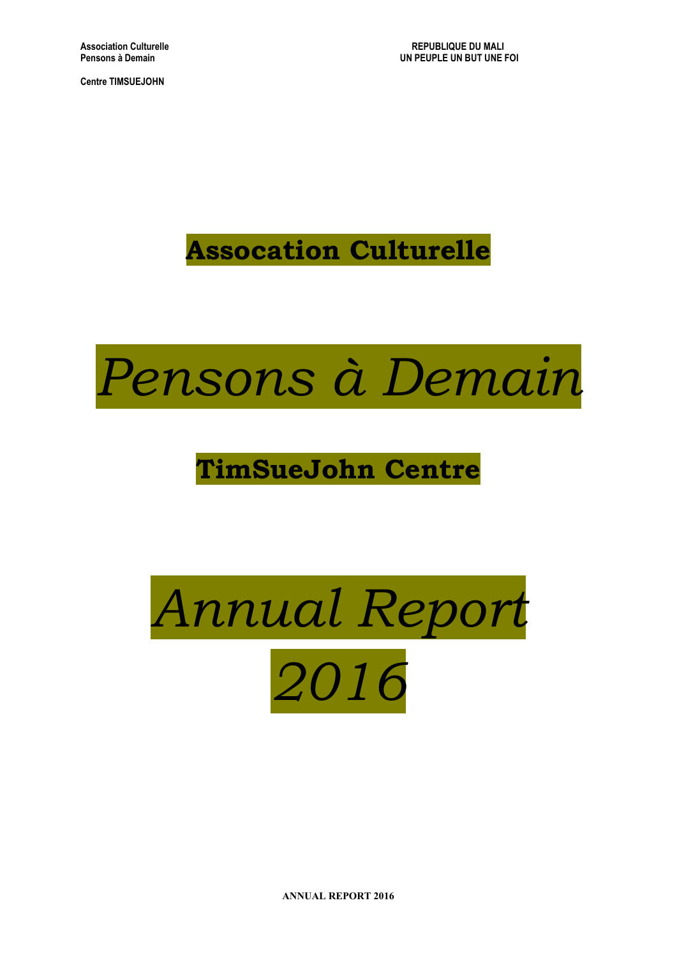**Association Culturelle REPUBLIQUE DU MALI UN PEUPLE UN BUT UNE FOI** 

**Centre TIMSUEJOHN**

**Assocation Culturelle**



# **TimSueJohn Centre**



**ANNUAL REPORT 2016**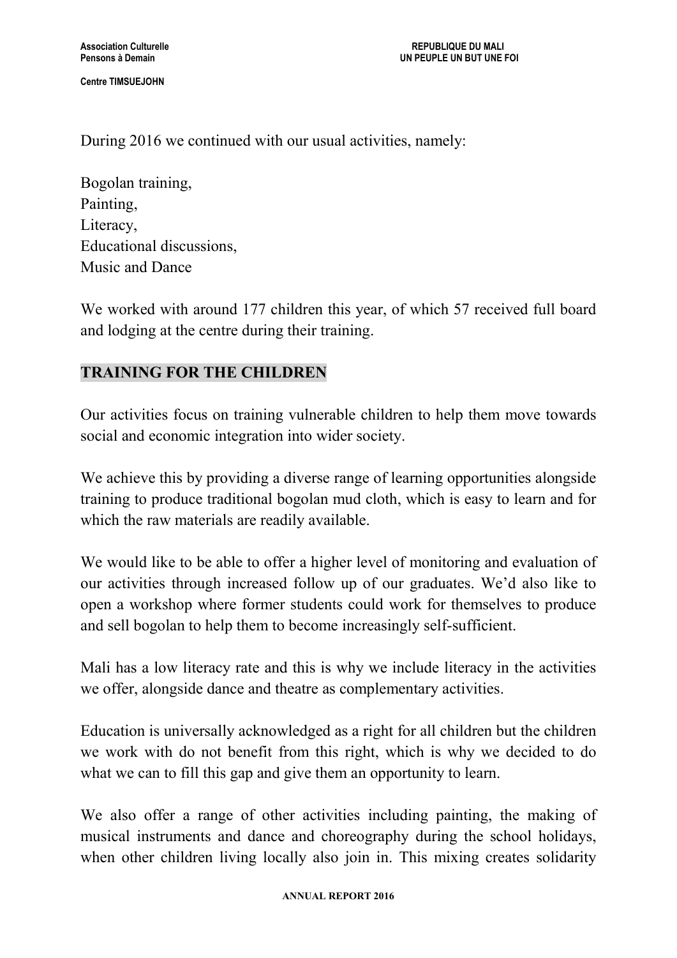During 2016 we continued with our usual activities, namely:

Bogolan training, Painting, Literacy, Educational discussions, Music and Dance

We worked with around 177 children this year, of which 57 received full board and lodging at the centre during their training.

# **TRAINING FOR THE CHILDREN**

Our activities focus on training vulnerable children to help them move towards social and economic integration into wider society.

We achieve this by providing a diverse range of learning opportunities alongside training to produce traditional bogolan mud cloth, which is easy to learn and for which the raw materials are readily available.

We would like to be able to offer a higher level of monitoring and evaluation of our activities through increased follow up of our graduates. We'd also like to open a workshop where former students could work for themselves to produce and sell bogolan to help them to become increasingly self-sufficient.

Mali has a low literacy rate and this is why we include literacy in the activities we offer, alongside dance and theatre as complementary activities.

Education is universally acknowledged as a right for all children but the children we work with do not benefit from this right, which is why we decided to do what we can to fill this gap and give them an opportunity to learn.

We also offer a range of other activities including painting, the making of musical instruments and dance and choreography during the school holidays, when other children living locally also join in. This mixing creates solidarity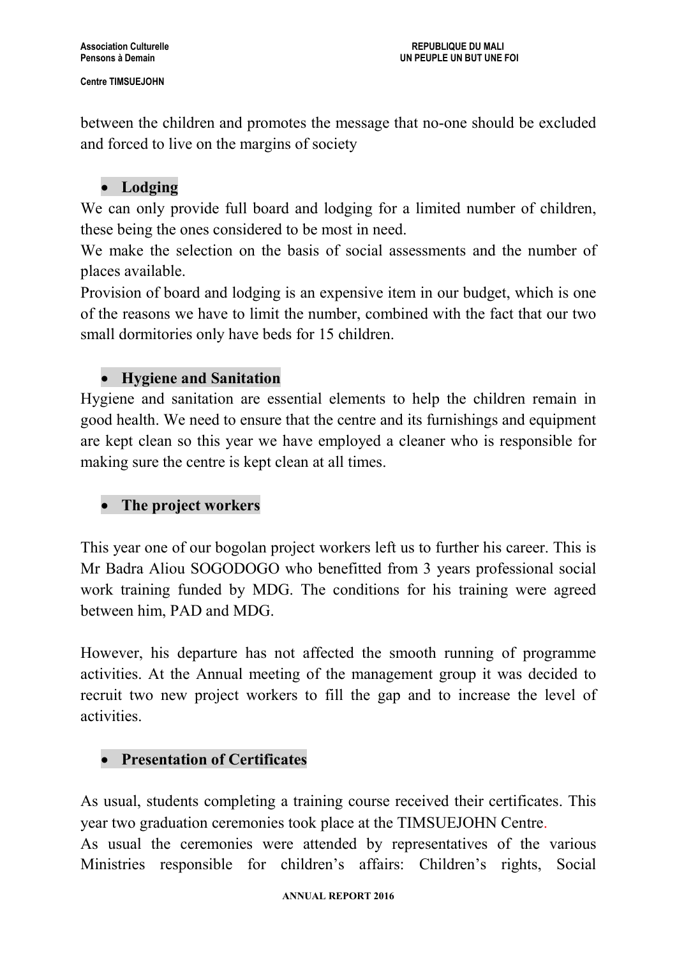between the children and promotes the message that no-one should be excluded and forced to live on the margins of society

# **Lodging**

We can only provide full board and lodging for a limited number of children, these being the ones considered to be most in need.

We make the selection on the basis of social assessments and the number of places available.

Provision of board and lodging is an expensive item in our budget, which is one of the reasons we have to limit the number, combined with the fact that our two small dormitories only have beds for 15 children.

# **Hygiene and Sanitation**

Hygiene and sanitation are essential elements to help the children remain in good health. We need to ensure that the centre and its furnishings and equipment are kept clean so this year we have employed a cleaner who is responsible for making sure the centre is kept clean at all times.

# **The project workers**

This year one of our bogolan project workers left us to further his career. This is Mr Badra Aliou SOGODOGO who benefitted from 3 years professional social work training funded by MDG. The conditions for his training were agreed between him, PAD and MDG.

However, his departure has not affected the smooth running of programme activities. At the Annual meeting of the management group it was decided to recruit two new project workers to fill the gap and to increase the level of activities.

# **Presentation of Certificates**

As usual, students completing a training course received their certificates. This year two graduation ceremonies took place at the TIMSUEJOHN Centre.

As usual the ceremonies were attended by representatives of the various Ministries responsible for children's affairs: Children's rights, Social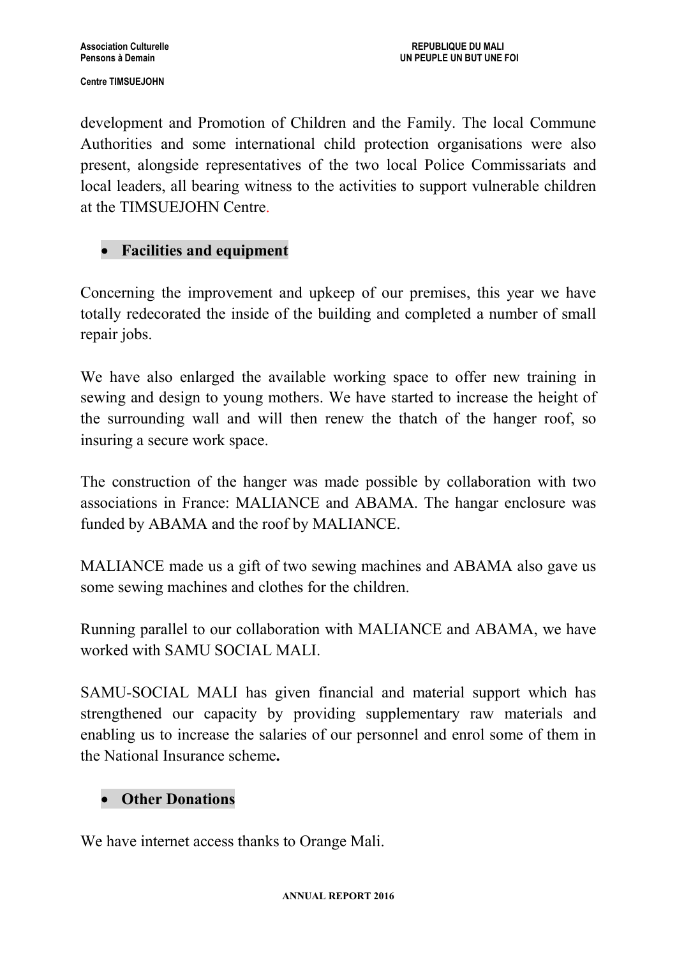development and Promotion of Children and the Family. The local Commune Authorities and some international child protection organisations were also present, alongside representatives of the two local Police Commissariats and local leaders, all bearing witness to the activities to support vulnerable children at the TIMSUEJOHN Centre.

# **Facilities and equipment**

Concerning the improvement and upkeep of our premises, this year we have totally redecorated the inside of the building and completed a number of small repair jobs.

We have also enlarged the available working space to offer new training in sewing and design to young mothers. We have started to increase the height of the surrounding wall and will then renew the thatch of the hanger roof, so insuring a secure work space.

The construction of the hanger was made possible by collaboration with two associations in France: MALIANCE and ABAMA. The hangar enclosure was funded by ABAMA and the roof by MALIANCE.

MALIANCE made us a gift of two sewing machines and ABAMA also gave us some sewing machines and clothes for the children.

Running parallel to our collaboration with MALIANCE and ABAMA, we have worked with SAMU SOCIAL MALI.

SAMU-SOCIAL MALI has given financial and material support which has strengthened our capacity by providing supplementary raw materials and enabling us to increase the salaries of our personnel and enrol some of them in the National Insurance scheme**.**

# **Other Donations**

We have internet access thanks to Orange Mali.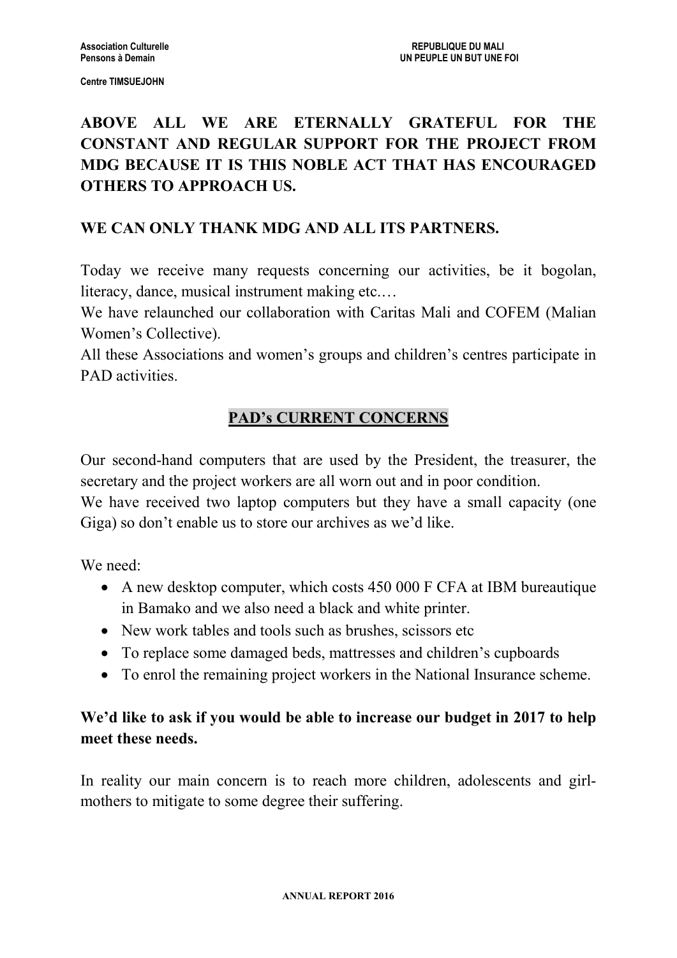# **ABOVE ALL WE ARE ETERNALLY GRATEFUL FOR THE CONSTANT AND REGULAR SUPPORT FOR THE PROJECT FROM MDG BECAUSE IT IS THIS NOBLE ACT THAT HAS ENCOURAGED OTHERS TO APPROACH US.**

# **WE CAN ONLY THANK MDG AND ALL ITS PARTNERS.**

Today we receive many requests concerning our activities, be it bogolan, literacy, dance, musical instrument making etc.…

We have relaunched our collaboration with Caritas Mali and COFEM (Malian Women's Collective).

All these Associations and women's groups and children's centres participate in PAD activities.

# **PAD's CURRENT CONCERNS**

Our second-hand computers that are used by the President, the treasurer, the secretary and the project workers are all worn out and in poor condition.

We have received two laptop computers but they have a small capacity (one Giga) so don't enable us to store our archives as we'd like.

We need:

- A new desktop computer, which costs 450 000 F CFA at IBM bureautique in Bamako and we also need a black and white printer.
- New work tables and tools such as brushes, scissors etc
- To replace some damaged beds, mattresses and children's cupboards
- To enrol the remaining project workers in the National Insurance scheme.

# **We'd like to ask if you would be able to increase our budget in 2017 to help meet these needs.**

In reality our main concern is to reach more children, adolescents and girlmothers to mitigate to some degree their suffering.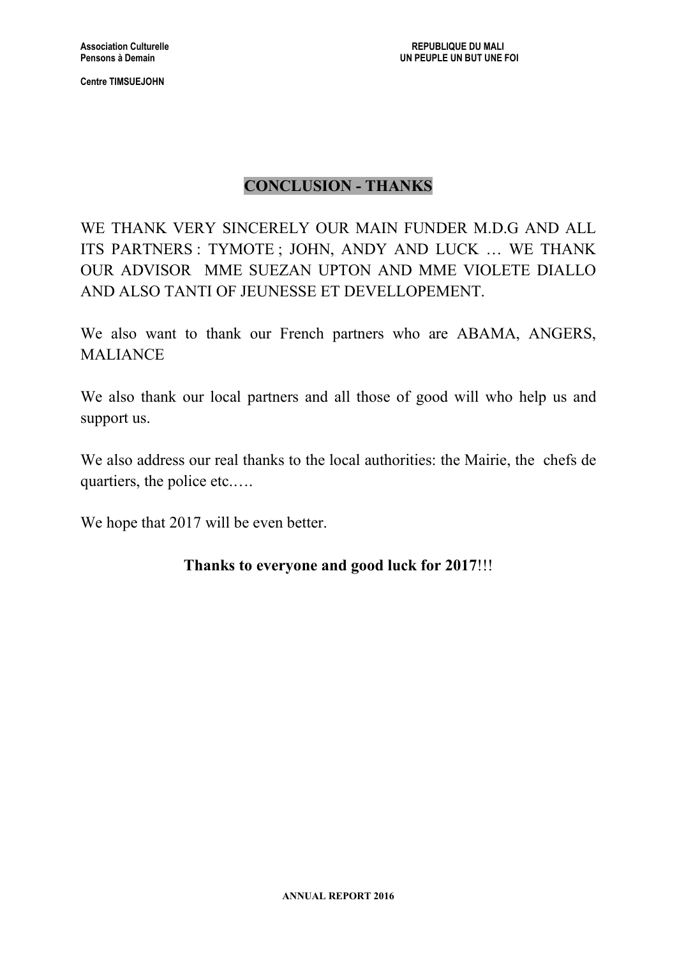# **CONCLUSION - THANKS**

WE THANK VERY SINCERELY OUR MAIN FUNDER M.D.G AND ALL ITS PARTNERS : TYMOTE ; JOHN, ANDY AND LUCK … WE THANK OUR ADVISOR MME SUEZAN UPTON AND MME VIOLETE DIALLO AND ALSO TANTI OF JEUNESSE ET DEVELLOPEMENT.

We also want to thank our French partners who are ABAMA, ANGERS, MALIANCE

We also thank our local partners and all those of good will who help us and support us.

We also address our real thanks to the local authorities: the Mairie, the chefs de quartiers, the police etc.….

We hope that 2017 will be even better.

# **Thanks to everyone and good luck for 2017**!!!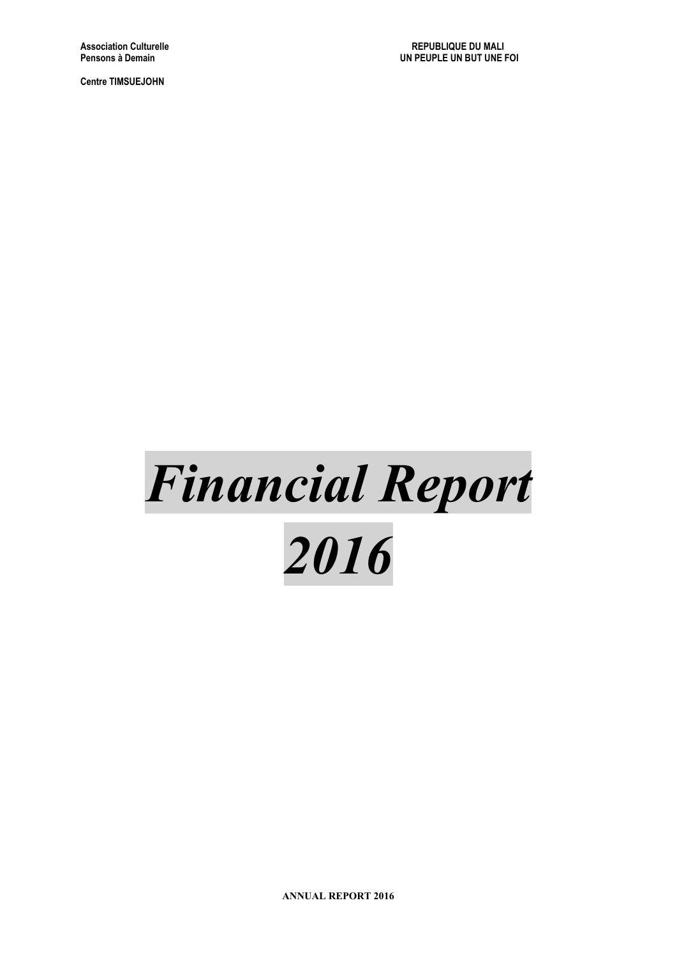# *Financial Report 2016*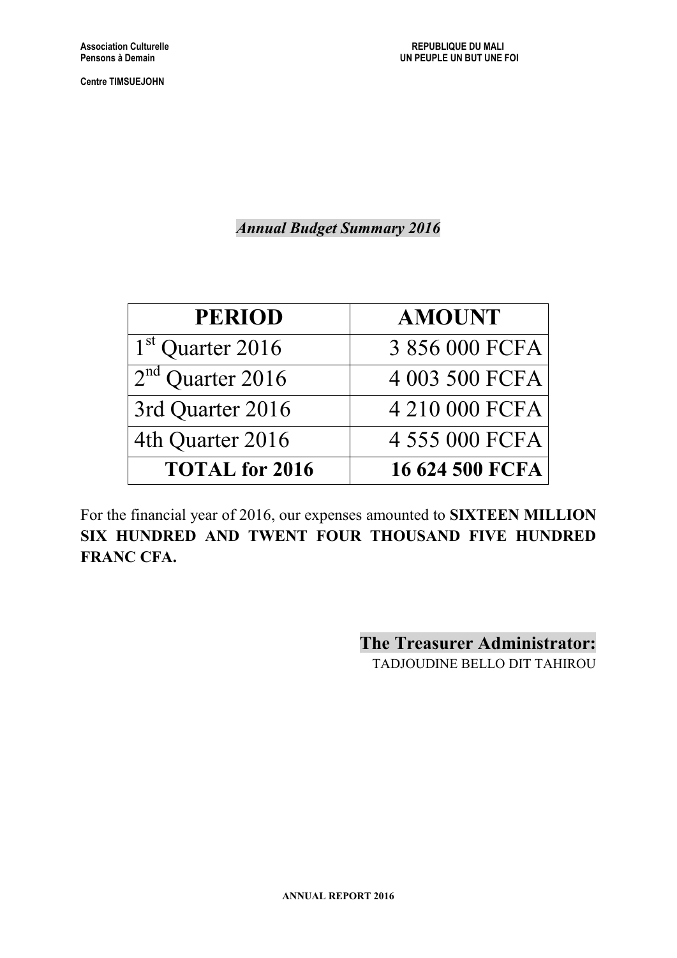*Annual Budget Summary 2016*

| <b>PERIOD</b>         | <b>AMOUNT</b>   |
|-----------------------|-----------------|
| $1st$ Quarter 2016    | 3 856 000 FCFA  |
| $2nd$ Quarter 2016    | 4 003 500 FCFA  |
| 3rd Quarter 2016      | 4 210 000 FCFA  |
| 4th Quarter 2016      | 4 555 000 FCFA  |
| <b>TOTAL</b> for 2016 | 16 624 500 FCFA |

For the financial year of 2016, our expenses amounted to **SIXTEEN MILLION SIX HUNDRED AND TWENT FOUR THOUSAND FIVE HUNDRED FRANC CFA.**

> **The Treasurer Administrator:** TADJOUDINE BELLO DIT TAHIROU